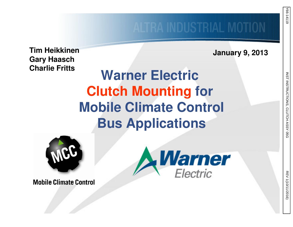**January 9, 2013**

**Tim Heikkinen Gary HaaschCharlie Fritts**

## **Warner Electric Clutch Mounting for Mobile Climate ControlBus Applications**



**Warner**<br>Electric

**Mobile Climate Control**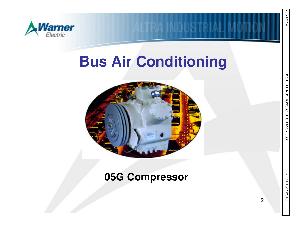

## **Bus Air Conditioning**



### **05G Compressor**

05G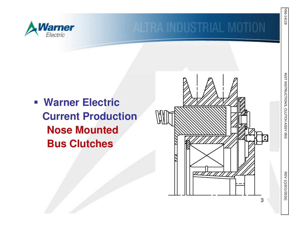

 **Warner Electric Current ProductionNose MountedBus Clutches**



INST INSTRUCTIONS, CLUTCH ASSY 05G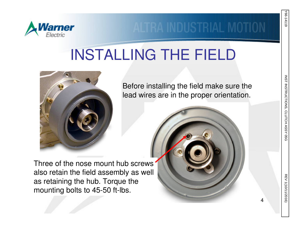

## INSTALLING THE FIELD



Three of the nose mount hub screws also retain the field assembly as well as retaining the hub. Torque the mounting bolts to 45-50 ft-lbs.

Before installing the field make sure the lead wires are in the proper orientation.



INST INSTRUCTIONS, CLUTCH ASSY

05G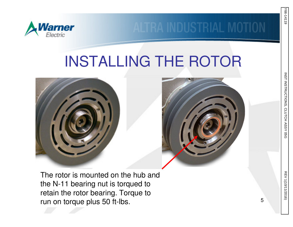

# INSTALLING THE ROTOR





The rotor is mounted on the hub and the N-11 bearing nut is torqued to retain the rotor bearing. Torque to run on torque plus 50 ft-lbs.

INST INSTRUCTIONS, CLUTCH ASSY 05G

Y66-14119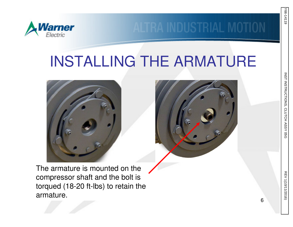

## INSTALLING THE ARMATURE





The armature is mounted on the compressor shaft and the bolt is torqued (18-20 ft-lbs) to retain the armature.

INST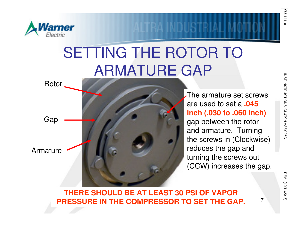

# SETTING THE ROTOR TO ARMATURE GAP



The armature set screws are used to set a **.045 inch (.030 to .060 inch)**gap between the rotor and armature. Turning the screws in (Clockwise) reduces the gap and turning the screws out (CCW) increases the gap.

#### **THERE SHOULD BE AT LEAST 30 PSI OF VAPOR PRESSURE IN THE COMPRESSOR TO SET THE GAP.**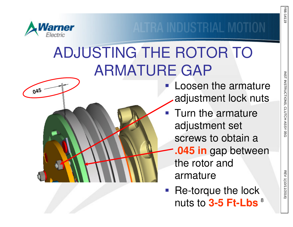

.**045**

# ADJUSTING THE ROTOR TO ARMATURE GAP

- **Service Service Loosen the armature** adjustment lock nuts
- Turn the armature adjustment set screws to obtain a
	- **.045 in** gap between the rotor and armature
- 8 nuts to **3-5 Ft-Lbs** $\mathcal{L}_{\mathcal{A}}$ Re-torque the lock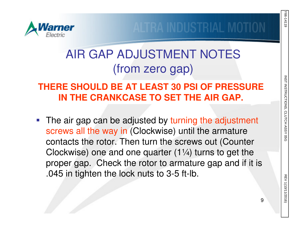

### AIR GAP ADJUSTMENT NOTES(from zero gap)

### **THERE SHOULD BE AT LEAST 30 PSI OF PRESSURE IN THE CRANKCASE TO SET THE AIR GAP.**

 $\Box$ The air gap can be adjusted by turning the adjustment screws all the way in (Clockwise) until the armature contacts the rotor. Then turn the screws out (Counter Clockwise) one and one quarter (1¼) turns to get the proper gap. Check the rotor to armature gap and if it is .045 in tighten the lock nuts to 3-5 ft-lb.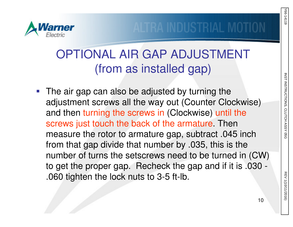

### OPTIONAL AIR GAP ADJUSTMENT(from as installed gap)

■ The air gap can also be adjusted by turning the adjustment screws all the way out (Counter Clockwise) and then turning the screws in (Clockwise) until the screws just touch the back of the armature. Then measure the rotor to armature gap, subtract .045 inch from that gap divide that number by .035, this is the number of turns the setscrews need to be turned in (CW) to get the proper gap. Recheck the gap and if it is .030 -.060 tighten the lock nuts to 3-5 ft-lb.

Y66-14119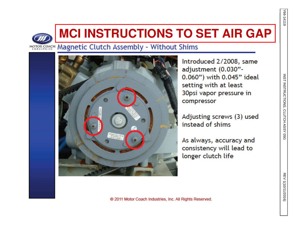



### **MCI INSTRUCTIONS TO SET AIR GAP**

MOTOR COACH Magnetic Clutch Assembly - Without Shims



Introduced 2/2008, same adjustment (0.030"-0.060") with 0.045" ideal setting with at least 30psi vapor pressure in compressor

Adjusting screws (3) used instead of shims

As always, accuracy and consistency will lead to longer clutch life

@ 2011 Motor Coach Industries, Inc. All Rights Reserved.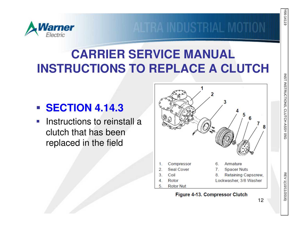

## **CARRIER SERVICE MANUALINSTRUCTIONS TO REPLACE A CLUTCH**

## **SECTION 4.14.3**

**Instructions to reinstall a** clutch that has been replaced in the field



#### Figure 4-13. Compressor Clutch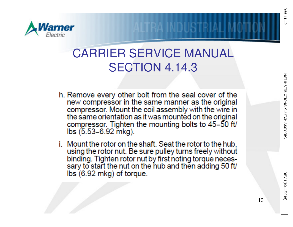

### CARRIER SERVICE MANUAL SECTION 4.14.3

- h. Remove every other bolt from the seal cover of the new compressor in the same manner as the original compressor. Mount the coil assembly with the wire in<br>the same orientation as it was mounted on the original compressor. Tighten the mounting bolts to 45-50 ft/ lbs (5.53-6.92 mkg).
- i. Mount the rotor on the shaft. Seat the rotor to the hub, using the rotor nut. Be sure pulley turns freely without binding. Tighten rotor nut by first noting torque necessary to start the nut on the hub and then adding 50 ft/  $\mathsf{lbs}$  (6.92 mkg) of torque.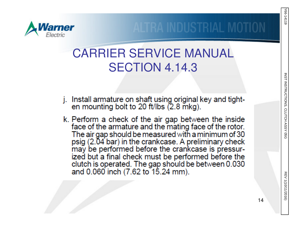



*larner* 

- j. Install armature on shaft using original key and tighten mounting bolt to 20 ft/lbs (2.8 mkg).
- k. Perform a check of the air gap between the inside face of the armature and the mating face of the rotor. The air gap should be measured with a minimum of 30 psig (2.04 bar) in the crankcase. A preliminary check may be performed before the crankcase is pressurized but a final check must be performed before the clutch is operated. The gap should be between 0.030 and 0.060 inch (7.62 to 15.24 mm).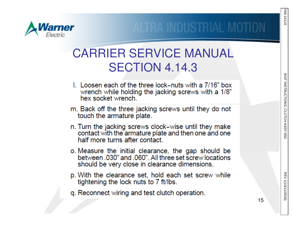

### CARRIER SERVICE MANUAL SECTION 4.14.3

- L. Loosen each of the three lock–nuts with a 7/16" box wrench while holding the jacking screws with a 1/8" hex socket wrench.
- m. Back off the three jacking screws until they do not touch the armature plate.
- n. Turn the jacking screws clock-wise until they make contact with the armature plate and then one and one half more turns after contact.
- o. Measure the initial clearance, the gap should be between, 030" and .060". All three set screw locations should be very close in clearance dimensions.
- p. With the clearance set, hold each set screw while tightening the lock nuts to 7 ft/lbs.
- q. Reconnect wiring and test clutch operation.